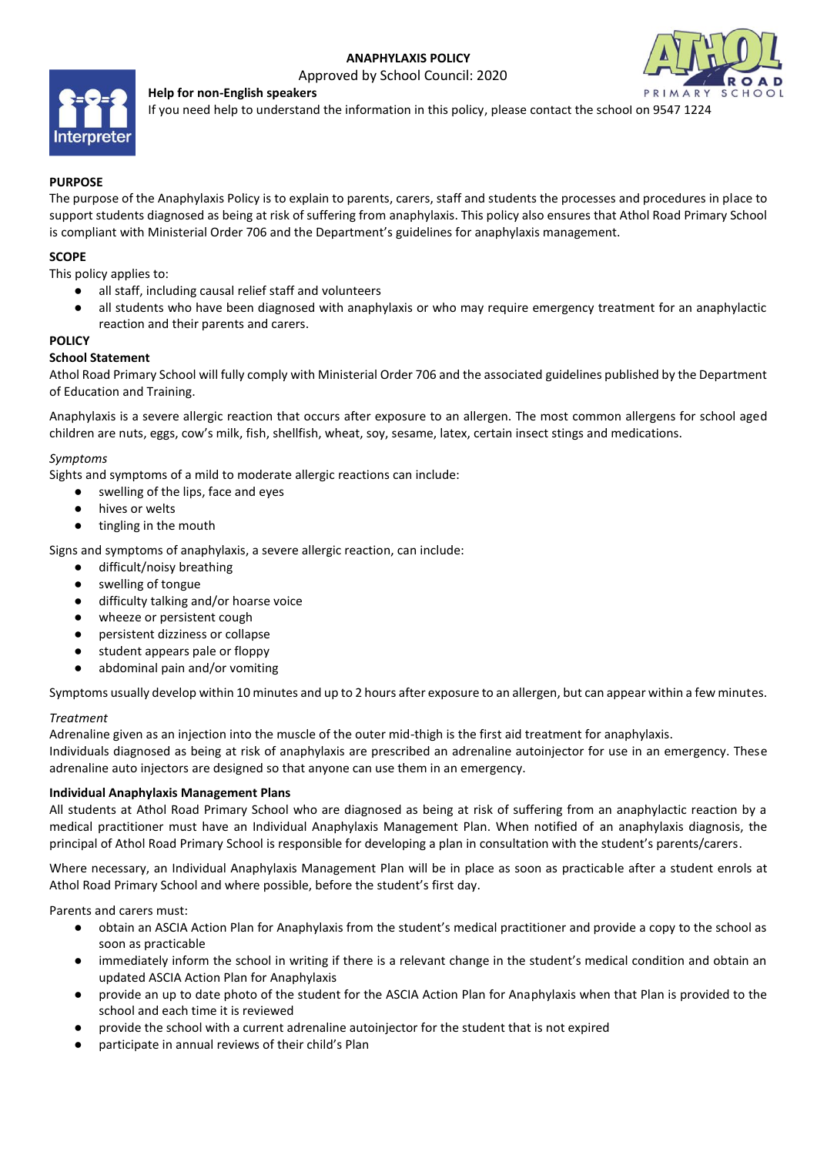# **ANAPHYLAXIS POLICY**

Approved by School Council: 2020



**Help for non-English speakers**

If you need help to understand the information in this policy, please contact the school on 9547 1224

# **PURPOSE**

The purpose of the Anaphylaxis Policy is to explain to parents, carers, staff and students the processes and procedures in place to support students diagnosed as being at risk of suffering from anaphylaxis. This policy also ensures that Athol Road Primary School is compliant with Ministerial Order 706 and the Department's guidelines for anaphylaxis management.

## **SCOPE**

This policy applies to:

- all staff, including causal relief staff and volunteers
- all students who have been diagnosed with anaphylaxis or who may require emergency treatment for an anaphylactic reaction and their parents and carers.

## **POLICY**

## **School Statement**

Athol Road Primary School will fully comply with Ministerial Order 706 and the associated guidelines published by the Department of Education and Training.

Anaphylaxis is a severe allergic reaction that occurs after exposure to an allergen. The most common allergens for school aged children are nuts, eggs, cow's milk, fish, shellfish, wheat, soy, sesame, latex, certain insect stings and medications.

#### *Symptoms*

Sights and symptoms of a mild to moderate allergic reactions can include:

- swelling of the lips, face and eyes
- hives or welts
- tingling in the mouth

Signs and symptoms of anaphylaxis, a severe allergic reaction, can include:

- difficult/noisy breathing
- swelling of tongue
- difficulty talking and/or hoarse voice
- wheeze or persistent cough
- persistent dizziness or collapse
- student appears pale or floppy
- abdominal pain and/or vomiting

Symptoms usually develop within 10 minutes and up to 2 hours after exposure to an allergen, but can appear within a few minutes.

#### *Treatment*

Adrenaline given as an injection into the muscle of the outer mid-thigh is the first aid treatment for anaphylaxis.

Individuals diagnosed as being at risk of anaphylaxis are prescribed an adrenaline autoinjector for use in an emergency. These adrenaline auto injectors are designed so that anyone can use them in an emergency.

#### **Individual Anaphylaxis Management Plans**

All students at Athol Road Primary School who are diagnosed as being at risk of suffering from an anaphylactic reaction by a medical practitioner must have an Individual Anaphylaxis Management Plan. When notified of an anaphylaxis diagnosis, the principal of Athol Road Primary School is responsible for developing a plan in consultation with the student's parents/carers.

Where necessary, an Individual Anaphylaxis Management Plan will be in place as soon as practicable after a student enrols at Athol Road Primary School and where possible, before the student's first day.

Parents and carers must:

- obtain an ASCIA Action Plan for Anaphylaxis from the student's medical practitioner and provide a copy to the school as soon as practicable
- immediately inform the school in writing if there is a relevant change in the student's medical condition and obtain an updated ASCIA Action Plan for Anaphylaxis
- provide an up to date photo of the student for the ASCIA Action Plan for Anaphylaxis when that Plan is provided to the school and each time it is reviewed
- provide the school with a current adrenaline autoinjector for the student that is not expired
- participate in annual reviews of their child's Plan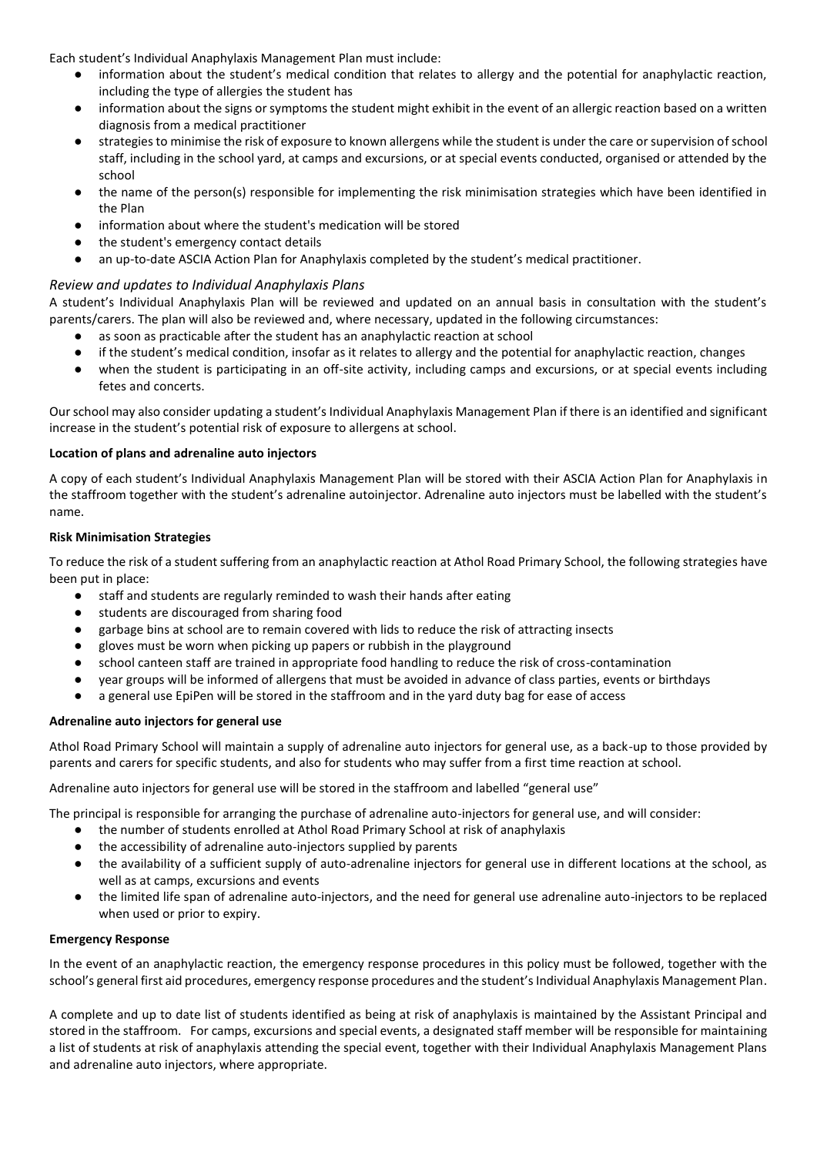Each student's Individual Anaphylaxis Management Plan must include:

- information about the student's medical condition that relates to allergy and the potential for anaphylactic reaction, including the type of allergies the student has
- information about the signs or symptoms the student might exhibit in the event of an allergic reaction based on a written diagnosis from a medical practitioner
- strategies to minimise the risk of exposure to known allergens while the student is under the care or supervision of school staff, including in the school yard, at camps and excursions, or at special events conducted, organised or attended by the school
- the name of the person(s) responsible for implementing the risk minimisation strategies which have been identified in the Plan
- information about where the student's medication will be stored
- the student's emergency contact details
- an up-to-date ASCIA Action Plan for Anaphylaxis completed by the student's medical practitioner.

## *Review and updates to Individual Anaphylaxis Plans*

A student's Individual Anaphylaxis Plan will be reviewed and updated on an annual basis in consultation with the student's parents/carers. The plan will also be reviewed and, where necessary, updated in the following circumstances:

- as soon as practicable after the student has an anaphylactic reaction at school
- if the student's medical condition, insofar as it relates to allergy and the potential for anaphylactic reaction, changes
- when the student is participating in an off-site activity, including camps and excursions, or at special events including fetes and concerts.

Our school may also consider updating a student's Individual Anaphylaxis Management Plan if there is an identified and significant increase in the student's potential risk of exposure to allergens at school.

#### **Location of plans and adrenaline auto injectors**

A copy of each student's Individual Anaphylaxis Management Plan will be stored with their ASCIA Action Plan for Anaphylaxis in the staffroom together with the student's adrenaline autoinjector. Adrenaline auto injectors must be labelled with the student's name.

#### **Risk Minimisation Strategies**

To reduce the risk of a student suffering from an anaphylactic reaction at Athol Road Primary School, the following strategies have been put in place:

- staff and students are regularly reminded to wash their hands after eating
- students are discouraged from sharing food
- garbage bins at school are to remain covered with lids to reduce the risk of attracting insects
- gloves must be worn when picking up papers or rubbish in the playground
- school canteen staff are trained in appropriate food handling to reduce the risk of cross-contamination
- year groups will be informed of allergens that must be avoided in advance of class parties, events or birthdays
- a general use EpiPen will be stored in the staffroom and in the yard duty bag for ease of access

#### **Adrenaline auto injectors for general use**

Athol Road Primary School will maintain a supply of adrenaline auto injectors for general use, as a back-up to those provided by parents and carers for specific students, and also for students who may suffer from a first time reaction at school.

Adrenaline auto injectors for general use will be stored in the staffroom and labelled "general use"

The principal is responsible for arranging the purchase of adrenaline auto-injectors for general use, and will consider:

- the number of students enrolled at Athol Road Primary School at risk of anaphylaxis
- the accessibility of adrenaline auto-injectors supplied by parents
- the availability of a sufficient supply of auto-adrenaline injectors for general use in different locations at the school, as well as at camps, excursions and events
- the limited life span of adrenaline auto-injectors, and the need for general use adrenaline auto-injectors to be replaced when used or prior to expiry.

#### **Emergency Response**

In the event of an anaphylactic reaction, the emergency response procedures in this policy must be followed, together with the school's general first aid procedures, emergency response procedures and the student's Individual Anaphylaxis Management Plan.

A complete and up to date list of students identified as being at risk of anaphylaxis is maintained by the Assistant Principal and stored in the staffroom. For camps, excursions and special events, a designated staff member will be responsible for maintaining a list of students at risk of anaphylaxis attending the special event, together with their Individual Anaphylaxis Management Plans and adrenaline auto injectors, where appropriate.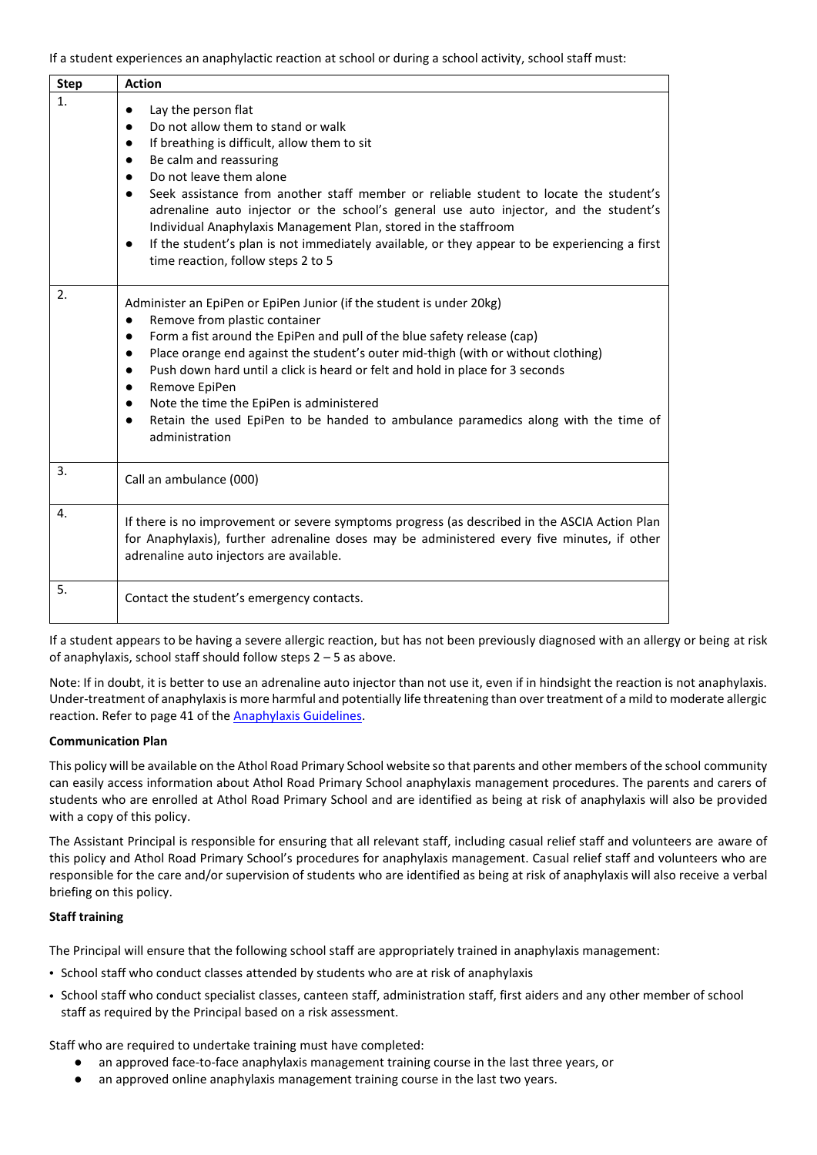If a student experiences an anaphylactic reaction at school or during a school activity, school staff must:

| <b>Step</b> | <b>Action</b>                                                                                                                                                                                                                                                                                                                                                                                                                                                                                                                                                                                                                                         |  |
|-------------|-------------------------------------------------------------------------------------------------------------------------------------------------------------------------------------------------------------------------------------------------------------------------------------------------------------------------------------------------------------------------------------------------------------------------------------------------------------------------------------------------------------------------------------------------------------------------------------------------------------------------------------------------------|--|
| 1.          | Lay the person flat<br>$\bullet$<br>Do not allow them to stand or walk<br>$\bullet$<br>If breathing is difficult, allow them to sit<br>$\bullet$<br>Be calm and reassuring<br>$\bullet$<br>Do not leave them alone<br>$\bullet$<br>Seek assistance from another staff member or reliable student to locate the student's<br>$\bullet$<br>adrenaline auto injector or the school's general use auto injector, and the student's<br>Individual Anaphylaxis Management Plan, stored in the staffroom<br>If the student's plan is not immediately available, or they appear to be experiencing a first<br>$\bullet$<br>time reaction, follow steps 2 to 5 |  |
| 2.          | Administer an EpiPen or EpiPen Junior (if the student is under 20kg)<br>Remove from plastic container<br>$\bullet$<br>Form a fist around the EpiPen and pull of the blue safety release (cap)<br>$\bullet$<br>Place orange end against the student's outer mid-thigh (with or without clothing)<br>$\bullet$<br>Push down hard until a click is heard or felt and hold in place for 3 seconds<br>$\bullet$<br>Remove EpiPen<br>$\bullet$<br>Note the time the EpiPen is administered<br>$\bullet$<br>Retain the used EpiPen to be handed to ambulance paramedics along with the time of<br>$\bullet$<br>administration                                |  |
| 3.          | Call an ambulance (000)                                                                                                                                                                                                                                                                                                                                                                                                                                                                                                                                                                                                                               |  |
| 4.          | If there is no improvement or severe symptoms progress (as described in the ASCIA Action Plan<br>for Anaphylaxis), further adrenaline doses may be administered every five minutes, if other<br>adrenaline auto injectors are available.                                                                                                                                                                                                                                                                                                                                                                                                              |  |
| 5.          | Contact the student's emergency contacts.                                                                                                                                                                                                                                                                                                                                                                                                                                                                                                                                                                                                             |  |

If a student appears to be having a severe allergic reaction, but has not been previously diagnosed with an allergy or being at risk of anaphylaxis, school staff should follow steps 2 – 5 as above.

Note: If in doubt, it is better to use an adrenaline auto injector than not use it, even if in hindsight the reaction is not anaphylaxis. Under-treatment of anaphylaxis is more harmful and potentially life threatening than over treatment of a mild to moderate allergic reaction. Refer to page 41 of the [Anaphylaxis Guidelines.](http://www.education.vic.gov.au/school/teachers/health/pages/anaphylaxisschl.aspx)

# **Communication Plan**

This policy will be available on the Athol Road Primary School website so that parents and other members of the school community can easily access information about Athol Road Primary School anaphylaxis management procedures. The parents and carers of students who are enrolled at Athol Road Primary School and are identified as being at risk of anaphylaxis will also be provided with a copy of this policy.

The Assistant Principal is responsible for ensuring that all relevant staff, including casual relief staff and volunteers are aware of this policy and Athol Road Primary School's procedures for anaphylaxis management. Casual relief staff and volunteers who are responsible for the care and/or supervision of students who are identified as being at risk of anaphylaxis will also receive a verbal briefing on this policy.

# **Staff training**

The Principal will ensure that the following school staff are appropriately trained in anaphylaxis management:

- School staff who conduct classes attended by students who are at risk of anaphylaxis
- School staff who conduct specialist classes, canteen staff, administration staff, first aiders and any other member of school staff as required by the Principal based on a risk assessment.

Staff who are required to undertake training must have completed:

- an approved face-to-face anaphylaxis management training course in the last three years, or
- an approved online anaphylaxis management training course in the last two years.